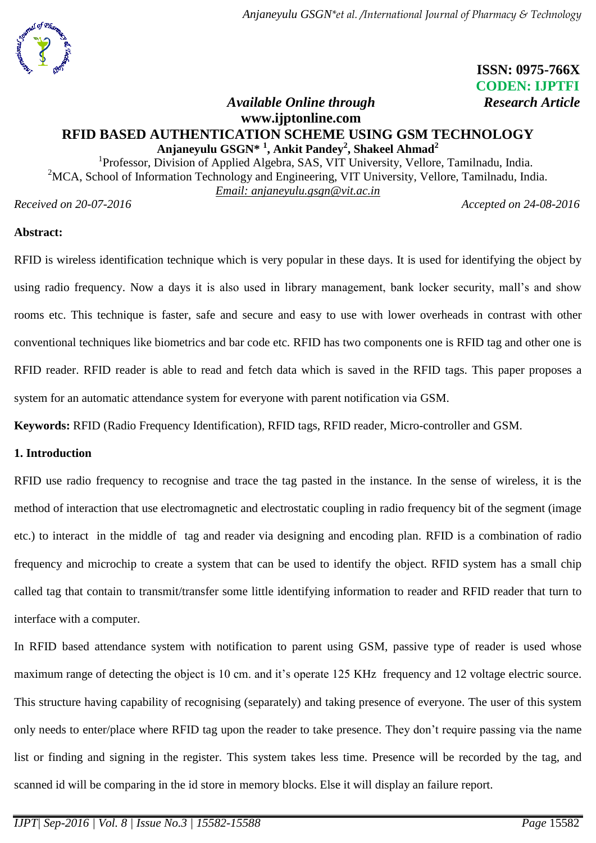

# **ISSN: 0975-766X CODEN: IJPTFI**

## *Available Online through Research Article* **www.ijptonline.com RFID BASED AUTHENTICATION SCHEME USING GSM TECHNOLOGY Anjaneyulu GSGN\* <sup>1</sup> , Ankit Pandey<sup>2</sup> , Shakeel Ahmad<sup>2</sup>**

<sup>1</sup>Professor, Division of Applied Algebra, SAS, VIT University, Vellore, Tamilnadu, India. <sup>2</sup>MCA, School of Information Technology and Engineering, VIT University, Vellore, Tamilnadu, India. *Email: [anjaneyulu.gsgn@vit.ac.in](mailto:anjaneyulu.gsgn@vit.ac.in)*

*Received on 20-07-2016 Accepted on 24-08-2016*

## **Abstract:**

RFID is wireless identification technique which is very popular in these days. It is used for identifying the object by using radio frequency. Now a days it is also used in library management, bank locker security, mall's and show rooms etc. This technique is faster, safe and secure and easy to use with lower overheads in contrast with other conventional techniques like biometrics and bar code etc. RFID has two components one is RFID tag and other one is RFID reader. RFID reader is able to read and fetch data which is saved in the RFID tags. This paper proposes a system for an automatic attendance system for everyone with parent notification via GSM.

**Keywords:** RFID (Radio Frequency Identification), RFID tags, RFID reader, Micro-controller and GSM.

## **1. Introduction**

RFID use radio frequency to recognise and trace the tag pasted in the instance. In the sense of wireless, it is the method of interaction that use electromagnetic and electrostatic coupling in radio frequency bit of the segment (image etc.) to interact in the middle of tag and reader via designing and encoding plan. RFID is a combination of radio frequency and microchip to create a system that can be used to identify the object. RFID system has a small chip called tag that contain to transmit/transfer some little identifying information to reader and RFID reader that turn to interface with a computer.

In RFID based attendance system with notification to parent using GSM, passive type of reader is used whose maximum range of detecting the object is 10 cm. and it's operate 125 KHz frequency and 12 voltage electric source. This structure having capability of recognising (separately) and taking presence of everyone. The user of this system only needs to enter/place where RFID tag upon the reader to take presence. They don't require passing via the name list or finding and signing in the register. This system takes less time. Presence will be recorded by the tag, and scanned id will be comparing in the id store in memory blocks. Else it will display an failure report.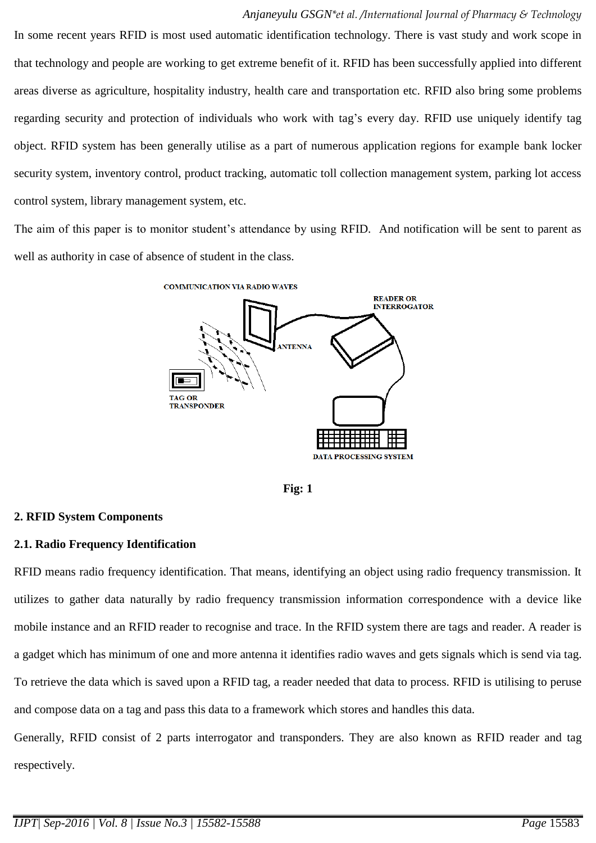In some recent years RFID is most used automatic identification technology. There is vast study and work scope in that technology and people are working to get extreme benefit of it. RFID has been successfully applied into different areas diverse as agriculture, hospitality industry, health care and transportation etc. RFID also bring some problems regarding security and protection of individuals who work with tag's every day. RFID use uniquely identify tag object. RFID system has been generally utilise as a part of numerous application regions for example bank locker security system, inventory control, product tracking, automatic toll collection management system, parking lot access control system, library management system, etc.

The aim of this paper is to monitor student's attendance by using RFID. And notification will be sent to parent as well as authority in case of absence of student in the class.



**Fig: 1**

# **2. RFID System Components**

# **2.1. Radio Frequency Identification**

RFID means radio frequency identification. That means, identifying an object using radio frequency transmission. It utilizes to gather data naturally by radio frequency transmission information correspondence with a device like mobile instance and an RFID reader to recognise and trace. In the RFID system there are tags and reader. A reader is a gadget which has minimum of one and more antenna it identifies radio waves and gets signals which is send via tag. To retrieve the data which is saved upon a RFID tag, a reader needed that data to process. RFID is utilising to peruse and compose data on a tag and pass this data to a framework which stores and handles this data.

Generally, RFID consist of 2 parts interrogator and transponders. They are also known as RFID reader and tag respectively.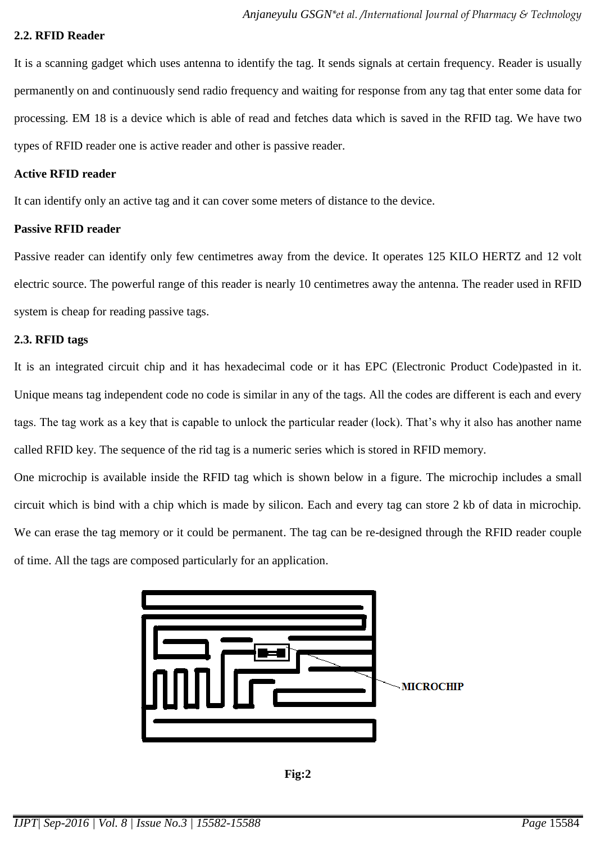#### **2.2. RFID Reader**

It is a scanning gadget which uses antenna to identify the tag. It sends signals at certain frequency. Reader is usually permanently on and continuously send radio frequency and waiting for response from any tag that enter some data for processing. EM 18 is a device which is able of read and fetches data which is saved in the RFID tag. We have two types of RFID reader one is active reader and other is passive reader.

#### **Active RFID reader**

It can identify only an active tag and it can cover some meters of distance to the device.

#### **Passive RFID reader**

Passive reader can identify only few centimetres away from the device. It operates 125 KILO HERTZ and 12 volt electric source. The powerful range of this reader is nearly 10 centimetres away the antenna. The reader used in RFID system is cheap for reading passive tags.

#### **2.3. RFID tags**

It is an integrated circuit chip and it has hexadecimal code or it has EPC (Electronic Product Code)pasted in it. Unique means tag independent code no code is similar in any of the tags. All the codes are different is each and every tags. The tag work as a key that is capable to unlock the particular reader (lock). That's why it also has another name called RFID key. The sequence of the rid tag is a numeric series which is stored in RFID memory.

One microchip is available inside the RFID tag which is shown below in a figure. The microchip includes a small circuit which is bind with a chip which is made by silicon. Each and every tag can store 2 kb of data in microchip. We can erase the tag memory or it could be permanent. The tag can be re-designed through the RFID reader couple of time. All the tags are composed particularly for an application.



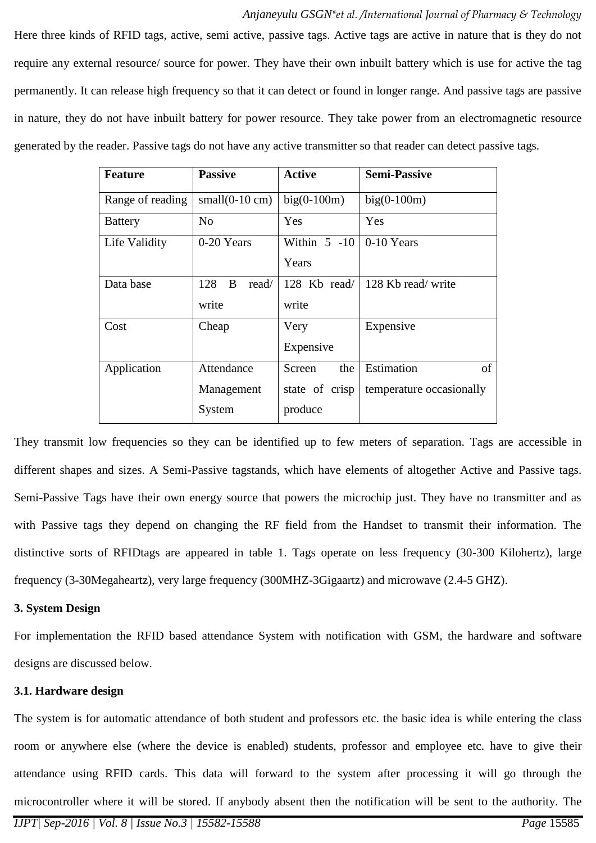#### *Anjaneyulu GSGN\*et al. /International Journal of Pharmacy & Technology*

Here three kinds of RFID tags, active, semi active, passive tags. Active tags are active in nature that is they do not require any external resource/ source for power. They have their own inbuilt battery which is use for active the tag permanently. It can release high frequency so that it can detect or found in longer range. And passive tags are passive in nature, they do not have inbuilt battery for power resource. They take power from an electromagnetic resource generated by the reader. Passive tags do not have any active transmitter so that reader can detect passive tags.

| <b>Feature</b>   | <b>Passive</b>               | <b>Active</b>  | <b>Semi-Passive</b>      |
|------------------|------------------------------|----------------|--------------------------|
| Range of reading | $small(0-10 \text{ cm})$     | $big(0-100m)$  | $big(0-100m)$            |
| <b>Battery</b>   | No                           | Yes            | Yes                      |
| Life Validity    | 0-20 Years                   | Within $5 -10$ | $0-10$ Years             |
|                  |                              | Years          |                          |
| Data base        | 128<br><sub>B</sub><br>read/ | 128 Kb read/   | 128 Kb read/write        |
|                  | write                        | write          |                          |
| Cost             | Cheap                        | Very           | Expensive                |
|                  |                              | Expensive      |                          |
| Application      | Attendance                   | Screen<br>the  | Estimation<br>of         |
|                  | Management                   | state of crisp | temperature occasionally |
|                  | System                       | produce        |                          |

They transmit low frequencies so they can be identified up to few meters of separation. Tags are accessible in different shapes and sizes. A Semi-Passive tagstands, which have elements of altogether Active and Passive tags. Semi-Passive Tags have their own energy source that powers the microchip just. They have no transmitter and as with Passive tags they depend on changing the RF field from the Handset to transmit their information. The distinctive sorts of RFIDtags are appeared in table 1. Tags operate on less frequency (30-300 Kilohertz), large frequency (3-30Megaheartz), very large frequency (300MHZ-3Gigaartz) and microwave (2.4-5 GHZ).

#### **3. System Design**

For implementation the RFID based attendance System with notification with GSM, the hardware and software designs are discussed below.

#### **3.1. Hardware design**

The system is for automatic attendance of both student and professors etc. the basic idea is while entering the class room or anywhere else (where the device is enabled) students, professor and employee etc. have to give their attendance using RFID cards. This data will forward to the system after processing it will go through the microcontroller where it will be stored. If anybody absent then the notification will be sent to the authority. The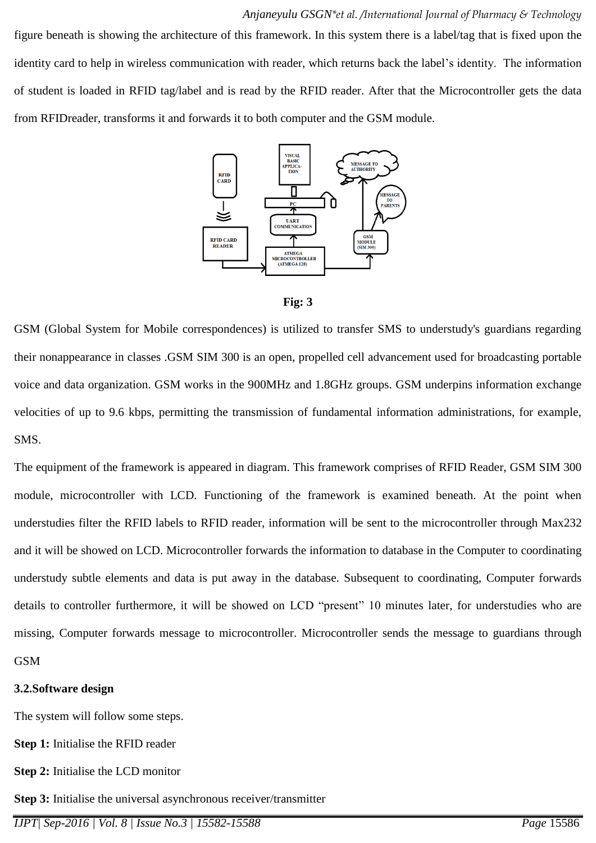#### *Anjaneyulu GSGN\*et al. /International Journal of Pharmacy & Technology*

figure beneath is showing the architecture of this framework. In this system there is a label/tag that is fixed upon the identity card to help in wireless communication with reader, which returns back the label's identity. The information of student is loaded in RFID tag/label and is read by the RFID reader. After that the Microcontroller gets the data from RFIDreader, transforms it and forwards it to both computer and the GSM module.





GSM (Global System for Mobile correspondences) is utilized to transfer SMS to understudy's guardians regarding their nonappearance in classes .GSM SIM 300 is an open, propelled cell advancement used for broadcasting portable voice and data organization. GSM works in the 900MHz and 1.8GHz groups. GSM underpins information exchange velocities of up to 9.6 kbps, permitting the transmission of fundamental information administrations, for example, SMS.

The equipment of the framework is appeared in diagram. This framework comprises of RFID Reader, GSM SIM 300 module, microcontroller with LCD. Functioning of the framework is examined beneath. At the point when understudies filter the RFID labels to RFID reader, information will be sent to the microcontroller through Max232 and it will be showed on LCD. Microcontroller forwards the information to database in the Computer to coordinating understudy subtle elements and data is put away in the database. Subsequent to coordinating, Computer forwards details to controller furthermore, it will be showed on LCD "present" 10 minutes later, for understudies who are missing, Computer forwards message to microcontroller. Microcontroller sends the message to guardians through GSM

#### **3.2.Software design**

The system will follow some steps.

**Step 1:** Initialise the RFID reader

**Step 2:** Initialise the LCD monitor

**Step 3:** Initialise the universal asynchronous receiver/transmitter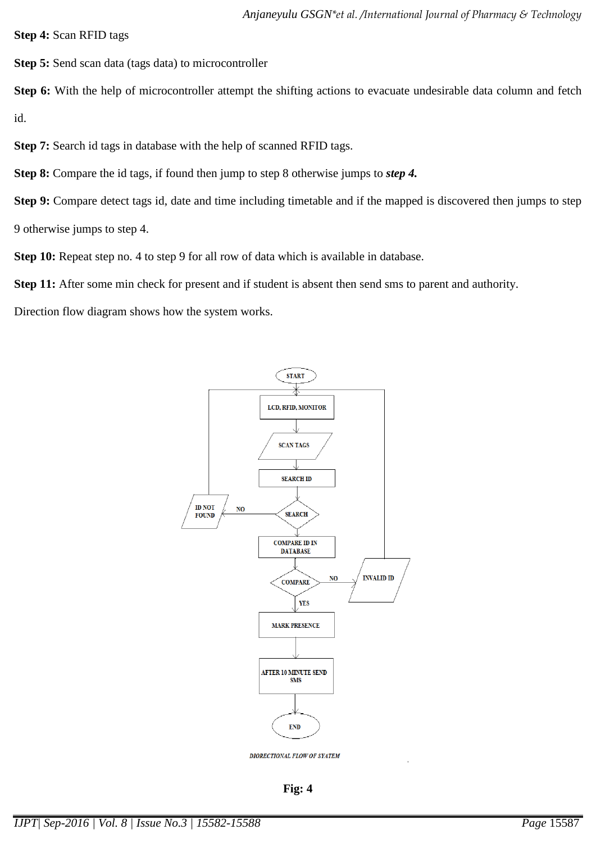**Step 4:** Scan RFID tags

**Step 5:** Send scan data (tags data) to microcontroller

**Step 6:** With the help of microcontroller attempt the shifting actions to evacuate undesirable data column and fetch id.

**Step 7:** Search id tags in database with the help of scanned RFID tags.

**Step 8:** Compare the id tags, if found then jump to step 8 otherwise jumps to *step 4.*

**Step 9:** Compare detect tags id, date and time including timetable and if the mapped is discovered then jumps to step 9 otherwise jumps to step 4.

**Step 10:** Repeat step no. 4 to step 9 for all row of data which is available in database.

**Step 11:** After some min check for present and if student is absent then send sms to parent and authority.

Direction flow diagram shows how the system works.



**Fig: 4**